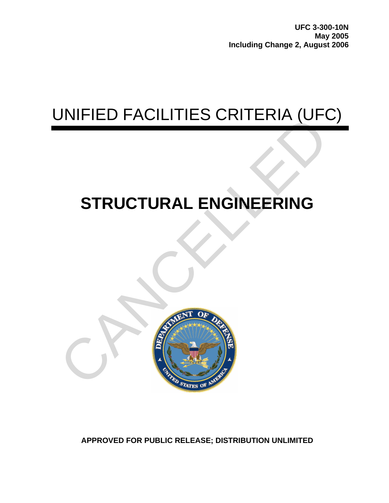# UNIFIED FACILITIES CRITERIA (UFC)

# **STRUCTURAL ENGINEERING**



**APPROVED FOR PUBLIC RELEASE; DISTRIBUTION UNLIMITED**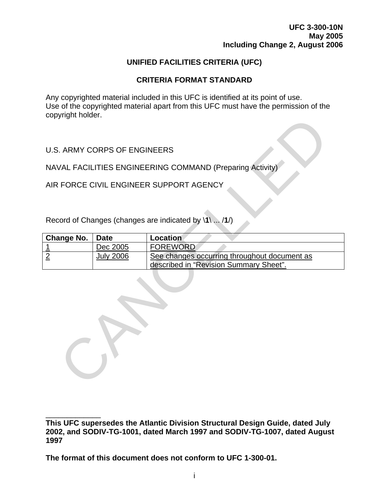# **UNIFIED FACILITIES CRITERIA (UFC)**

# **CRITERIA FORMAT STANDARD**

Any copyrighted material included in this UFC is identified at its point of use. Use of the copyrighted material apart from this UFC must have the permission of the copyright holder.

| copyright noiger.                                     |                  |                                                                                        |  |  |  |
|-------------------------------------------------------|------------------|----------------------------------------------------------------------------------------|--|--|--|
| <b>U.S. ARMY CORPS OF ENGINEERS</b>                   |                  |                                                                                        |  |  |  |
|                                                       |                  | NAVAL FACILITIES ENGINEERING COMMAND (Preparing Activity)                              |  |  |  |
|                                                       |                  | AIR FORCE CIVIL ENGINEER SUPPORT AGENCY                                                |  |  |  |
| Record of Changes (changes are indicated by \1\  /1/) |                  |                                                                                        |  |  |  |
| <b>Change No.</b>                                     | <b>Date</b>      | <b>Location</b>                                                                        |  |  |  |
| $\frac{1}{2}$                                         | Dec 2005         | <b>FOREWORD</b>                                                                        |  |  |  |
|                                                       | <b>July 2006</b> | See changes occurring throughout document as<br>described in "Revision Summary Sheet". |  |  |  |
|                                                       |                  |                                                                                        |  |  |  |



**The format of this document does not conform to UFC 1-300-01.**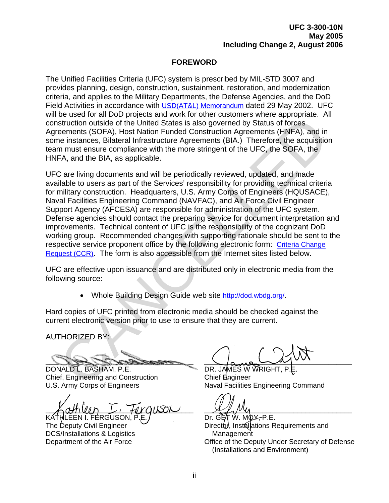## **FOREWORD**

The Unified Facilities Criteria (UFC) system is prescribed by MIL-STD 3007 and provides planning, design, construction, sustainment, restoration, and modernization criteria, and applies to the Military Departments, the Defense Agencies, and the DoD Field Activities in accordance with [USD\(AT&L\) Memorandum](http://www.wbdg.org/pdfs/ufc_implementation.pdf) dated 29 May 2002. UFC will be used for all DoD projects and work for other customers where appropriate. All construction outside of the United States is also governed by Status of forces Agreements (SOFA), Host Nation Funded Construction Agreements (HNFA), and in some instances, Bilateral Infrastructure Agreements (BIA.) Therefore, the acquisition team must ensure compliance with the more stringent of the UFC, the SOFA, the HNFA, and the BIA, as applicable.

UFC are living documents and will be periodically reviewed, updated, and made available to users as part of the Services' responsibility for providing technical criteria for military construction. Headquarters, U.S. Army Corps of Engineers (HQUSACE), Naval Facilities Engineering Command (NAVFAC), and Air Force Civil Engineer Support Agency (AFCESA) are responsible for administration of the UFC system. Defense agencies should contact the preparing service for document interpretation and improvements. Technical content of UFC is the responsibility of the cognizant DoD working group. Recommended changes with supporting rationale should be sent to the respective service proponent office by the following electronic form: Criteria Change [Request \(CCR\)](https://65.204.17.188/projnet/cms/version2/index.cfm?WORKFLOW=CMS_CCRQAdd&Action=IDFORM&SecureTry=1). The form is also accessible from the Internet sites listed below. be used to all those published and work of the United States is also governed by Status of forces. An<br>enturction outside of the United States is also governed by Status of forces<br>rements (SOFA), Host Nation Funded Construc

UFC are effective upon issuance and are distributed only in electronic media from the following source:

• Whole Building Design Guide web site http://dod.wbdg.org/.

Hard copies of UFC printed from electronic media should be checked against the current electronic version prior to use to ensure that they are current.

AUTHORIZED BY:

 $\frac{1}{2}$  ,  $\frac{1}{2}$  ,  $\frac{1}{2}$  ,  $\frac{1}{2}$  ,  $\frac{1}{2}$  ,  $\frac{1}{2}$  ,  $\frac{1}{2}$  ,  $\frac{1}{2}$  ,  $\frac{1}{2}$  ,  $\frac{1}{2}$ DONALD L. BASHAM, P.E.

Chief, Engineering and Construction U.S. Army Corps of Engineers

 $\mathcal{L}$ athlen  $\mathcal{L}$ , forguson KATHLEEN I. FERGUSON, P.E.

The Deputy Civil Engineer DCS/Installations & Logistics Department of the Air Force

 $\bigcup_{\alpha,\alpha}$   $\bigcup_{\alpha}$ 

DR. JAMES W WRIGHT. Chief Engineer Naval Facilities Engineering Command

 $\chi$ 

Dr. GEAT W. MOY, P.E. Director, Installations Requirements and **Management** Office of the Deputy Under Secretary of Defense (Installations and Environment)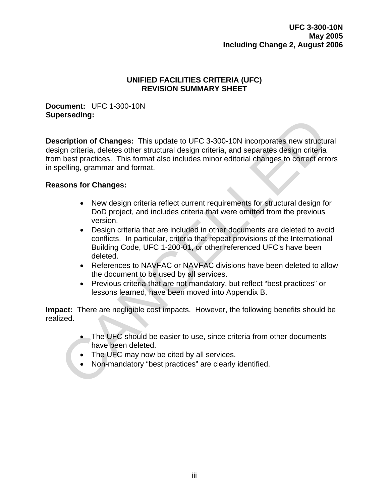## **UNIFIED FACILITIES CRITERIA (UFC) REVISION SUMMARY SHEET**

### **Document:** UFC 1-300-10N **Superseding:**

**Description of Changes:** This update to UFC 3-300-10N incorporates new structural design criteria, deletes other structural design criteria, and separates design criteria from best practices. This format also includes minor editorial changes to correct errors in spelling, grammar and format. Stription of Changes: This update to UFC 3-300-10N incorporates new structure<br>
sign criteria, deletes other structural design criteria, and separates design criteria<br>
in best practices. This format also includes minor edit

## **Reasons for Changes:**

- New design criteria reflect current requirements for structural design for DoD project, and includes criteria that were omitted from the previous version.
- Design criteria that are included in other documents are deleted to avoid conflicts. In particular, criteria that repeat provisions of the International Building Code, UFC 1-200-01, or other referenced UFC's have been deleted.
- References to NAVFAC or NAVFAC divisions have been deleted to allow the document to be used by all services.
- Previous criteria that are not mandatory, but reflect "best practices" or lessons learned, have been moved into Appendix B.

**Impact:** There are negligible cost impacts. However, the following benefits should be realized.

- The UFC should be easier to use, since criteria from other documents have been deleted.
- The UFC may now be cited by all services.
- Non-mandatory "best practices" are clearly identified.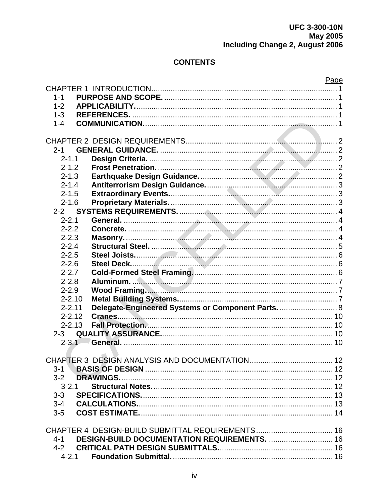# **CONTENTS**

|            |                                                    | <u>Page</u> |
|------------|----------------------------------------------------|-------------|
|            |                                                    |             |
| $1 - 1$    |                                                    |             |
| $1 - 2$    |                                                    |             |
| $1 - 3$    |                                                    |             |
| $1 - 4$    |                                                    |             |
|            |                                                    |             |
|            |                                                    |             |
| $2 - 1$    |                                                    |             |
| $2 - 1.1$  |                                                    |             |
| $2 - 1.2$  |                                                    |             |
| $2 - 1.3$  |                                                    |             |
| $2 - 1.4$  |                                                    |             |
| $2 - 1.5$  |                                                    |             |
| $2 - 1.6$  |                                                    |             |
| $2 - 2$    |                                                    |             |
| $2 - 2.1$  |                                                    |             |
| $2 - 2.2$  |                                                    |             |
| $2 - 2.3$  |                                                    |             |
| $2 - 2.4$  |                                                    |             |
| $2 - 2.5$  |                                                    |             |
| $2 - 2.6$  |                                                    |             |
| $2 - 2.7$  |                                                    |             |
| $2 - 2.8$  |                                                    |             |
| $2 - 2.9$  |                                                    |             |
| $2 - 2.10$ |                                                    |             |
| $2 - 2.11$ | Delegate-Engineered Systems or Component Parts.  8 |             |
| $2 - 2.12$ |                                                    |             |
| $2 - 2.13$ |                                                    |             |
| $2 - 3$    |                                                    |             |
| $2 - 3.1$  |                                                    |             |
|            |                                                    |             |
|            |                                                    | 12          |
| $3-1$      |                                                    |             |
| $3-2$      |                                                    |             |
| $3 - 2.1$  |                                                    |             |
| $3 - 3$    |                                                    |             |
| $3 - 4$    |                                                    |             |
| $3-5$      |                                                    |             |
|            |                                                    |             |
|            |                                                    |             |
| $4 - 1$    | DESIGN-BUILD DOCUMENTATION REQUIREMENTS.  16       |             |
| $4 - 2$    |                                                    |             |
|            |                                                    |             |
| $4 - 2.1$  |                                                    |             |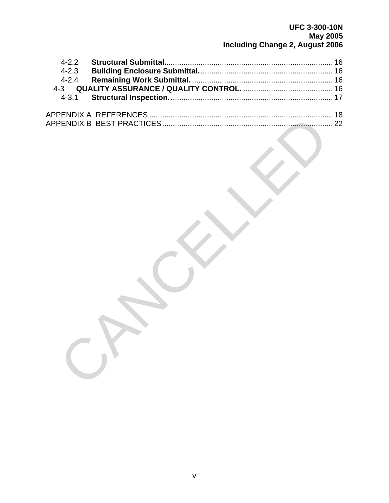| $4 - 2.2$<br>$4 - 2.3$<br>$4 - 2.4$<br>$4 - 3.1$ |    |
|--------------------------------------------------|----|
|                                                  | 22 |
|                                                  |    |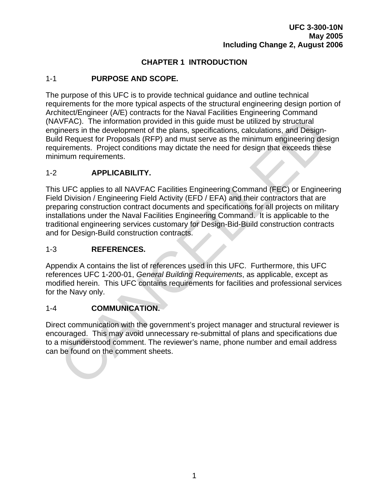# **CHAPTER 1 INTRODUCTION**

# <span id="page-6-0"></span>1-1 **PURPOSE AND SCOPE.**

The purpose of this UFC is to provide technical guidance and outline technical requirements for the more typical aspects of the structural engineering design portion of Architect/Engineer (A/E) contracts for the Naval Facilities Engineering Command (NAVFAC). The information provided in this guide must be utilized by structural engineers in the development of the plans, specifications, calculations, and Design-Build Request for Proposals (RFP) and must serve as the minimum engineering design requirements. Project conditions may dictate the need for design that exceeds these minimum requirements.

## 1-2 **APPLICABILITY.**

This UFC applies to all NAVFAC Facilities Engineering Command (FEC) or Engineering Field Division / Engineering Field Activity (EFD / EFA) and their contractors that are preparing construction contract documents and specifications for all projects on military installations under the Naval Facilities Engineering Command. It is applicable to the traditional engineering services customary for Design-Bid-Build construction contracts and for Design-Build construction contracts. NVFAC). The information provided in this guide must be utilized by structural<br>
interaction to the plane, specifications, calculations, and Design-<br>
inferences in the development of the plane, specifications, calculations,

## 1-3 **REFERENCES.**

Appendix A contains the list of references used in this UFC. Furthermore, this UFC references UFC 1-200-01, *General Building Requirements*, as applicable, except as modified herein. This UFC contains requirements for facilities and professional services for the Navy only.

## 1-4 **COMMUNICATION.**

Direct communication with the government's project manager and structural reviewer is encouraged. This may avoid unnecessary re-submittal of plans and specifications due to a misunderstood comment. The reviewer's name, phone number and email address can be found on the comment sheets.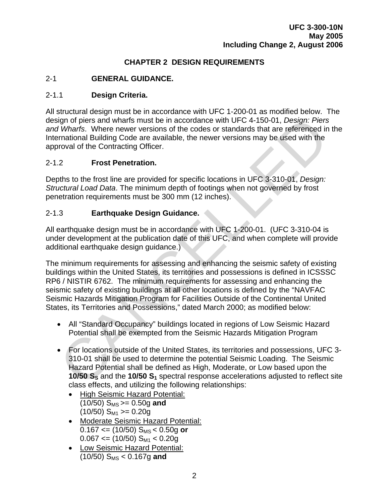# **CHAPTER 2 DESIGN REQUIREMENTS**

# <span id="page-7-0"></span>2-1 **GENERAL GUIDANCE.**

## 2-1.1 **Design Criteria.**

All structural design must be in accordance with UFC 1-200-01 as modified below. The design of piers and wharfs must be in accordance with UFC 4-150-01, *Design: Piers and Wharfs*. Where newer versions of the codes or standards that are referenced in the International Building Code are available, the newer versions may be used with the approval of the Contracting Officer.

## 2-1.2 **Frost Penetration.**

Depths to the frost line are provided for specific locations in UFC 3-310-01, *Design: Structural Load Data*. The minimum depth of footings when not governed by frost penetration requirements must be 300 mm (12 inches).

## 2-1.3 **Earthquake Design Guidance.**

All earthquake design must be in accordance with UFC 1-200-01. (UFC 3-310-04 is under development at the publication date of this UFC, and when complete will provide additional earthquake design guidance.)

The minimum requirements for assessing and enhancing the seismic safety of existing buildings within the United States, its territories and possessions is defined in ICSSSC RP6 / NISTIR 6762. The minimum requirements for assessing and enhancing the seismic safety of existing buildings at all other locations is defined by the "NAVFAC Seismic Hazards Mitigation Program for Facilities Outside of the Continental United States, its Territories and Possessions," dated March 2000; as modified below: ign of piers and wharfs must be in accordance with UFC 4-150-01, *Design: Piers*<br> *Wharfs.* Where newer versions of the codes or standards that are referenced in<br>
methods. Where newer versions of the codes or standards tha

- All "Standard Occupancy" buildings located in regions of Low Seismic Hazard Potential shall be exempted from the Seismic Hazards Mitigation Program
- For locations outside of the United States, its territories and possessions, UFC 3- 310-01 shall be used to determine the potential Seismic Loading. The Seismic Hazard Potential shall be defined as High, Moderate, or Low based upon the **10/50 S<sub>S</sub>** and the **10/50 S**<sub>1</sub> spectral response accelerations adjusted to reflect site class effects, and utilizing the following relationships:
	- High Seismic Hazard Potential:  $(10/50)$  S<sub>MS</sub> >= 0.50g and  $(10/50)$  S<sub>M1</sub> >= 0.20g
	- Moderate Seismic Hazard Potential:  $0.167 \leq (10/50)$  S<sub>MS</sub>  $< 0.50q$  or  $0.067 \leq (10/50) S_{M1} < 0.20g$
	- Low Seismic Hazard Potential:  $(10/50)$  S<sub>MS</sub> < 0.167g and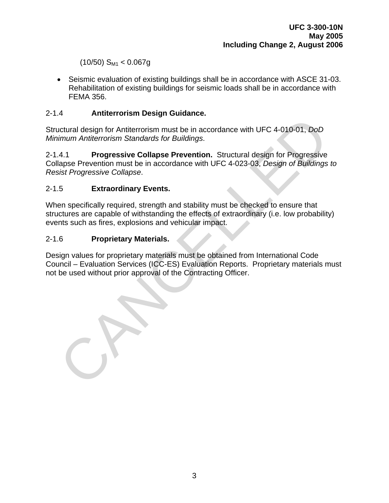$(10/50)$  S<sub>M1</sub> < 0.067g

<span id="page-8-0"></span>• Seismic evaluation of existing buildings shall be in accordance with ASCE 31-03. Rehabilitation of existing buildings for seismic loads shall be in accordance with FEMA 356.

## 2-1.4 **Antiterrorism Design Guidance.**

Structural design for Antiterrorism must be in accordance with UFC 4-010-01, *DoD Minimum Antiterrorism Standards for Buildings*.

2-1.4.1 **Progressive Collapse Prevention.** Structural design for Progressive Collapse Prevention must be in accordance with UFC 4-023-03, *Design of Buildings to Resist Progressive Collapse*.

## 2-1.5 **Extraordinary Events.**

When specifically required, strength and stability must be checked to ensure that structures are capable of withstanding the effects of extraordinary (i.e. low probability) events such as fires, explosions and vehicular impact.

## 2-1.6 **Proprietary Materials.**

Design values for proprietary materials must be obtained from International Code Council – Evaluation Services (ICC-ES) Evaluation Reports. Proprietary materials must not be used without prior approval of the Contracting Officer. Contract design for Antiternorism Text and a laccordance with UFC 4-010-01, *DoD*<br>
Contrar Antiterrorism Standards for Buildings.<br>
4.1 **Progressive Collapse Prevention.** Structural design for Progressive<br>
lapse Prevention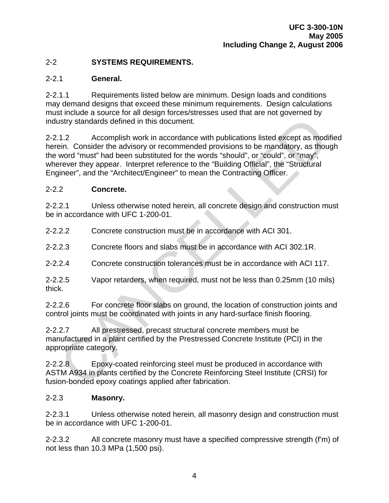## <span id="page-9-0"></span>2-2 **SYSTEMS REQUIREMENTS.**

## 2-2.1 **General.**

2-2.1.1 Requirements listed below are minimum. Design loads and conditions may demand designs that exceed these minimum requirements. Design calculations must include a source for all design forces/stresses used that are not governed by industry standards defined in this document.

2-2.1.2 Accomplish work in accordance with publications listed except as modified herein. Consider the advisory or recommended provisions to be mandatory, as though the word "must" had been substituted for the words "should", or "could", or "may", wherever they appear. Interpret reference to the "Building Official", the "Structural Engineer", and the "Architect/Engineer" to mean the Contracting Officer. State and the action of the process and produced in accordance with properties a model in this document.<br>
The consider the actiony or recommended provisions to be mandatory, as thou word "must" had been substituted for the

#### 2-2.2 **Concrete.**

2-2.2.1 Unless otherwise noted herein, all concrete design and construction must be in accordance with UFC 1-200-01.

2-2.2.2 Concrete construction must be in accordance with ACI 301.

2-2.2.3 Concrete floors and slabs must be in accordance with ACI 302.1R.

2-2.2.4 Concrete construction tolerances must be in accordance with ACI 117.

2-2.2.5 Vapor retarders, when required, must not be less than 0.25mm (10 mils) thick.

2-2.2.6 For concrete floor slabs on ground, the location of construction joints and control joints must be coordinated with joints in any hard-surface finish flooring.

2-2.2.7 All prestressed, precast structural concrete members must be manufactured in a plant certified by the Prestressed Concrete Institute (PCI) in the appropriate category.

2-2.2.8 Epoxy-coated reinforcing steel must be produced in accordance with ASTM A934 in plants certified by the Concrete Reinforcing Steel Institute (CRSI) for fusion-bonded epoxy coatings applied after fabrication.

#### 2-2.3 **Masonry.**

2-2.3.1 Unless otherwise noted herein, all masonry design and construction must be in accordance with UFC 1-200-01.

2-2.3.2 All concrete masonry must have a specified compressive strength (f'm) of not less than 10.3 MPa (1,500 psi).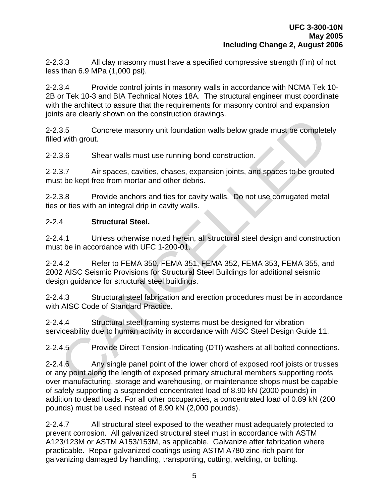<span id="page-10-0"></span>2-2.3.3 All clay masonry must have a specified compressive strength (f'm) of not less than 6.9 MPa (1,000 psi).

2-2.3.4 Provide control joints in masonry walls in accordance with NCMA Tek 10- 2B or Tek 10-3 and BIA Technical Notes 18A. The structural engineer must coordinate with the architect to assure that the requirements for masonry control and expansion joints are clearly shown on the construction drawings.

2-2.3.5 Concrete masonry unit foundation walls below grade must be completely filled with grout.

2-2.3.6 Shear walls must use running bond construction.

2-2.3.7 Air spaces, cavities, chases, expansion joints, and spaces to be grouted must be kept free from mortar and other debris.

2-2.3.8 Provide anchors and ties for cavity walls. Do not use corrugated metal ties or ties with an integral drip in cavity walls.

## 2-2.4 **Structural Steel.**

2-2.4.1 Unless otherwise noted herein, all structural steel design and construction must be in accordance with UFC 1-200-01.

2-2.4.2 Refer to FEMA 350, FEMA 351, FEMA 352, FEMA 353, FEMA 355, and 2002 AISC Seismic Provisions for Structural Steel Buildings for additional seismic design guidance for structural steel buildings.

2-2.4.3 Structural steel fabrication and erection procedures must be in accordance with AISC Code of Standard Practice.

2-2.4.4 Structural steel framing systems must be designed for vibration serviceability due to human activity in accordance with AISC Steel Design Guide 11.

2-2.4.5 Provide Direct Tension-Indicating (DTI) washers at all bolted connections.

2-2.4.6 Any single panel point of the lower chord of exposed roof joists or trusses or any point along the length of exposed primary structural members supporting roofs over manufacturing, storage and warehousing, or maintenance shops must be capable of safely supporting a suspended concentrated load of 8.90 kN (2000 pounds) in addition to dead loads. For all other occupancies, a concentrated load of 0.89 kN (200 pounds) must be used instead of 8.90 kN (2,000 pounds). 3.5<br>
and electrical smust use running ond construction.<br>
3.6 Concrete masonny unit foundation walls below grade must be completed with grout.<br>
3.7 Air spaces, cavities, chases, expansion joints, and spaces to be groute<br>
3.

2-2.4.7 All structural steel exposed to the weather must adequately protected to prevent corrosion. All galvanized structural steel must in accordance with ASTM A123/123M or ASTM A153/153M, as applicable. Galvanize after fabrication where practicable. Repair galvanized coatings using ASTM A780 zinc-rich paint for galvanizing damaged by handling, transporting, cutting, welding, or bolting.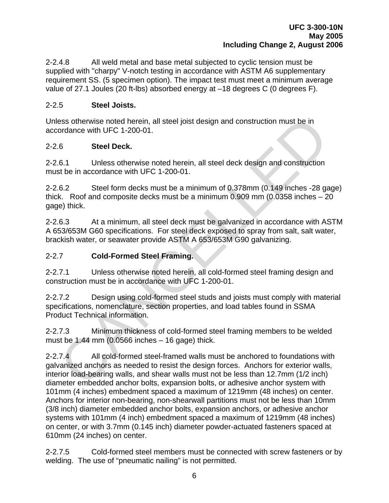<span id="page-11-0"></span>2-2.4.8 All weld metal and base metal subjected to cyclic tension must be supplied with "charpy" V-notch testing in accordance with ASTM A6 supplementary requirement SS. (5 specimen option). The impact test must meet a minimum average value of 27.1 Joules (20 ft-lbs) absorbed energy at –18 degrees C (0 degrees F).

## 2-2.5 **Steel Joists.**

Unless otherwise noted herein, all steel joist design and construction must be in accordance with UFC 1-200-01.

## 2-2.6 **Steel Deck.**

2-2.6.1 Unless otherwise noted herein, all steel deck design and construction must be in accordance with UFC 1-200-01.

2-2.6.2 Steel form decks must be a minimum of 0.378mm (0.149 inches -28 gage) thick. Roof and composite decks must be a minimum 0.909 mm (0.0358 inches – 20 gage) thick.

2-2.6.3 At a minimum, all steel deck must be galvanized in accordance with ASTM A 653/653M G60 specifications. For steel deck exposed to spray from salt, salt water, brackish water, or seawater provide ASTM A 653/653M G90 galvanizing.

## 2-2.7 **Cold-Formed Steel Framing.**

2-2.7.1 Unless otherwise noted herein, all cold-formed steel framing design and construction must be in accordance with UFC 1-200-01.

2-2.7.2 Design using cold-formed steel studs and joists must comply with material specifications, nomenclature, section properties, and load tables found in SSMA Product Technical information.

2-2.7.3 Minimum thickness of cold-formed steel framing members to be welded must be  $1.44$  mm (0.0566 inches  $-16$  gage) thick.

2-2.7.4 All cold-formed steel-framed walls must be anchored to foundations with galvanized anchors as needed to resist the design forces. Anchors for exterior walls, interior load-bearing walls, and shear walls must not be less than 12.7mm (1/2 inch) diameter embedded anchor bolts, expansion bolts, or adhesive anchor system with 101mm (4 inches) embedment spaced a maximum of 1219mm (48 inches) on center. Anchors for interior non-bearing, non-shearwall partitions must not be less than 10mm (3/8 inch) diameter embedded anchor bolts, expansion anchors, or adhesive anchor systems with 101mm (4 inch) embedment spaced a maximum of 1219mm (48 inches) on center, or with 3.7mm (0.145 inch) diameter powder-actuated fasteners spaced at 610mm (24 inches) on center. ess otherwise noted herein, all steel joist design and construction must be in<br>ordance with UFC 1-200-01.<br>
6. Steel Deck.<br>
6.1 Unless otherwise noted herein, all steel deck design and construction<br>
1.6. Steel Deck.<br>
6.1 Un

2-2.7.5 Cold-formed steel members must be connected with screw fasteners or by welding. The use of "pneumatic nailing" is not permitted.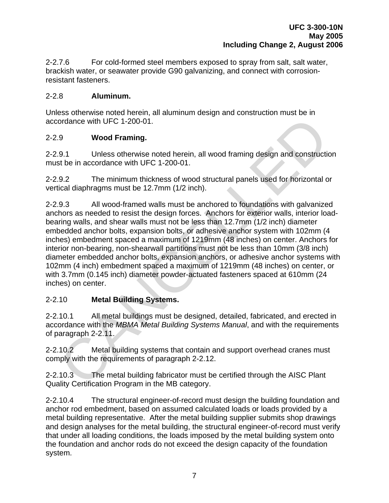<span id="page-12-0"></span>2-2.7.6 For cold-formed steel members exposed to spray from salt, salt water, brackish water, or seawater provide G90 galvanizing, and connect with corrosionresistant fasteners.

## 2-2.8 **Aluminum.**

Unless otherwise noted herein, all aluminum design and construction must be in accordance with UFC 1-200-01.

## 2-2.9 **Wood Framing.**

2-2.9.1 Unless otherwise noted herein, all wood framing design and construction must be in accordance with UFC 1-200-01.

2-2.9.2 The minimum thickness of wood structural panels used for horizontal or vertical diaphragms must be 12.7mm (1/2 inch).

2-2.9.3 All wood-framed walls must be anchored to foundations with galvanized anchors as needed to resist the design forces. Anchors for exterior walls, interior loadbearing walls, and shear walls must not be less than 12.7mm (1/2 inch) diameter embedded anchor bolts, expansion bolts, or adhesive anchor system with 102mm (4 inches) embedment spaced a maximum of 1219mm (48 inches) on center. Anchors for interior non-bearing, non-shearwall partitions must not be less than 10mm (3/8 inch) diameter embedded anchor bolts, expansion anchors, or adhesive anchor systems with 102mm (4 inch) embedment spaced a maximum of 1219mm (48 inches) on center, or with 3.7mm (0.145 inch) diameter powder-actuated fasteners spaced at 610mm (24 inches) on center. ordance with UFC 1-200-01.<br>
9 Wood Framing.<br>
9.1 Wood Framing.<br>
9.1 Unless otherwise noted herein, all wood framing design and construction<br>
1.9.2 The minimum thickness of wood structural panels used for horizontal of<br>
1.9

## 2-2.10 **Metal Building Systems.**

2-2.10.1 All metal buildings must be designed, detailed, fabricated, and erected in accordance with the *MBMA Metal Building Systems Manual*, and with the requirements of paragraph 2-2.11.

2-2.10.2 Metal building systems that contain and support overhead cranes must comply with the requirements of paragraph 2-2.12.

2-2.10.3 The metal building fabricator must be certified through the AISC Plant Quality Certification Program in the MB category.

2-2.10.4 The structural engineer-of-record must design the building foundation and anchor rod embedment, based on assumed calculated loads or loads provided by a metal building representative. After the metal building supplier submits shop drawings and design analyses for the metal building, the structural engineer-of-record must verify that under all loading conditions, the loads imposed by the metal building system onto the foundation and anchor rods do not exceed the design capacity of the foundation system.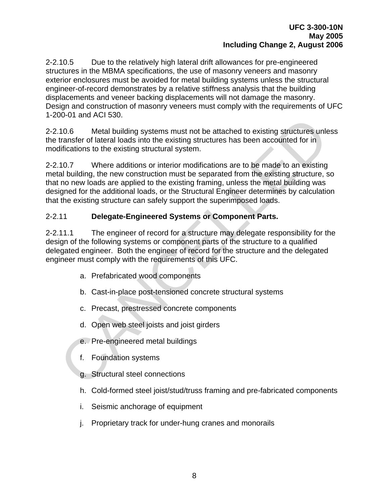<span id="page-13-0"></span>2-2.10.5 Due to the relatively high lateral drift allowances for pre-engineered structures in the MBMA specifications, the use of masonry veneers and masonry exterior enclosures must be avoided for metal building systems unless the structural engineer-of-record demonstrates by a relative stiffness analysis that the building displacements and veneer backing displacements will not damage the masonry. Design and construction of masonry veneers must comply with the requirements of UFC 1-200-01 and ACI 530.

2-2.10.6 Metal building systems must not be attached to existing structures unless the transfer of lateral loads into the existing structures has been accounted for in modifications to the existing structural system.

2-2.10.7 Where additions or interior modifications are to be made to an existing metal building, the new construction must be separated from the existing structure, so that no new loads are applied to the existing framing, unless the metal building was designed for the additional loads, or the Structural Engineer determines by calculation that the existing structure can safely support the superimposed loads. ob-or and Act soo.<br>
10.6 Metal building systems must not be attached to existing structures unle<br>
transfer of lateral loads into the existing structures has been accounted for in<br>
transfer of lateral loads into the existin

# 2-2.11 **Delegate-Engineered Systems or Component Parts.**

2-2.11.1 The engineer of record for a structure may delegate responsibility for the design of the following systems or component parts of the structure to a qualified delegated engineer. Both the engineer of record for the structure and the delegated engineer must comply with the requirements of this UFC.

- a. Prefabricated wood components
- b. Cast-in-place post-tensioned concrete structural systems
- c. Precast, prestressed concrete components
- d. Open web steel joists and joist girders
- e. Pre-engineered metal buildings
- f. Foundation systems
- g. Structural steel connections
- h. Cold-formed steel joist/stud/truss framing and pre-fabricated components
- i. Seismic anchorage of equipment
- j. Proprietary track for under-hung cranes and monorails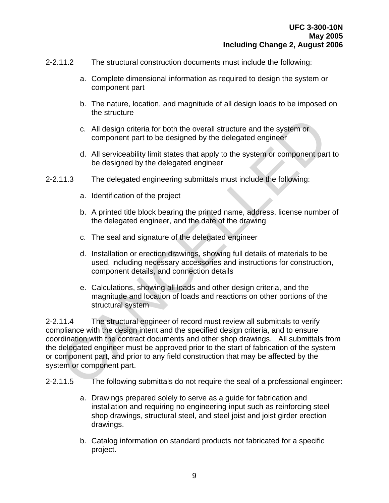- 2-2.11.2 The structural construction documents must include the following:
	- a. Complete dimensional information as required to design the system or component part
	- b. The nature, location, and magnitude of all design loads to be imposed on the structure
	- c. All design criteria for both the overall structure and the system or component part to be designed by the delegated engineer
	- d. All serviceability limit states that apply to the system or component part to be designed by the delegated engineer
- 2-2.11.3 The delegated engineering submittals must include the following:
	- a. Identification of the project
	- b. A printed title block bearing the printed name, address, license number of the delegated engineer, and the date of the drawing
	- c. The seal and signature of the delegated engineer
	- d. Installation or erection drawings, showing full details of materials to be used, including necessary accessories and instructions for construction, component details, and connection details
	- e. Calculations, showing all loads and other design criteria, and the magnitude and location of loads and reactions on other portions of the structural system

2-2.11.4 The structural engineer of record must review all submittals to verify compliance with the design intent and the specified design criteria, and to ensure coordination with the contract documents and other shop drawings. All submittals from the delegated engineer must be approved prior to the start of fabrication of the system or component part, and prior to any field construction that may be affected by the system or component part. c. All design criteria for both the overall structure and the system or<br>component part to be designed by the delegated engineer<br>d. All serviceability limit states that apply to the system or component part<br>be designed by t

- 2-2.11.5 The following submittals do not require the seal of a professional engineer:
	- a. Drawings prepared solely to serve as a guide for fabrication and installation and requiring no engineering input such as reinforcing steel shop drawings, structural steel, and steel joist and joist girder erection drawings.
	- b. Catalog information on standard products not fabricated for a specific project.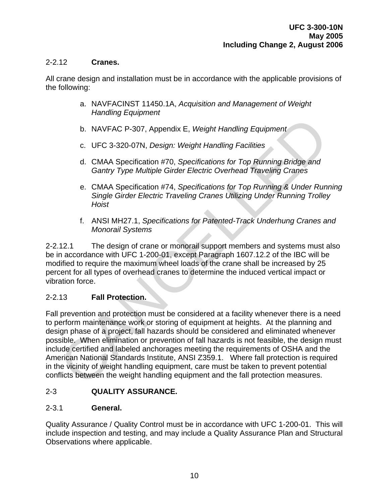## <span id="page-15-0"></span>2-2.12 **Cranes.**

All crane design and installation must be in accordance with the applicable provisions of the following:

- a. NAVFACINST 11450.1A, *Acquisition and Management of Weight Handling Equipment*
- b. NAVFAC P-307, Appendix E, *Weight Handling Equipment*
- c. UFC 3-320-07N, *Design: Weight Handling Facilities*
- d. CMAA Specification #70, *Specifications for Top Running Bridge and Gantry Type Multiple Girder Electric Overhead Traveling Cranes*
- e. CMAA Specification #74, *Specifications for Top Running & Under Running Single Girder Electric Traveling Cranes Utilizing Under Running Trolley Hoist*
- f. ANSI MH27.1, *Specifications for Patented-Track Underhung Cranes and Monorail Systems*

2-2.12.1 The design of crane or monorail support members and systems must also be in accordance with UFC 1-200-01, except Paragraph 1607.12.2 of the IBC will be modified to require the maximum wheel loads of the crane shall be increased by 25 percent for all types of overhead cranes to determine the induced vertical impact or vibration force.

# 2-2.13 **Fall Protection.**

Fall prevention and protection must be considered at a facility whenever there is a need to perform maintenance work or storing of equipment at heights. At the planning and design phase of a project, fall hazards should be considered and eliminated whenever possible. When elimination or prevention of fall hazards is not feasible, the design must include certified and labeled anchorages meeting the requirements of OSHA and the American National Standards Institute, ANSI Z359.1. Where fall protection is required in the vicinity of weight handling equipment, care must be taken to prevent potential conflicts between the weight handling equipment and the fall protection measures. b. NAVFAC P-307, Appendix E, Weight Handling Equipment<br>
c. UFC 3-320-07N, *Design: Weight Handling Facilities*<br>
d. CMAA Specification #70, *Specifications for Top Running Bridge and*<br>
Gant/*Type Multiple Girder Electric Ov* 

# 2-3 **QUALITY ASSURANCE.**

# 2-3.1 **General.**

Quality Assurance / Quality Control must be in accordance with UFC 1-200-01. This will include inspection and testing, and may include a Quality Assurance Plan and Structural Observations where applicable.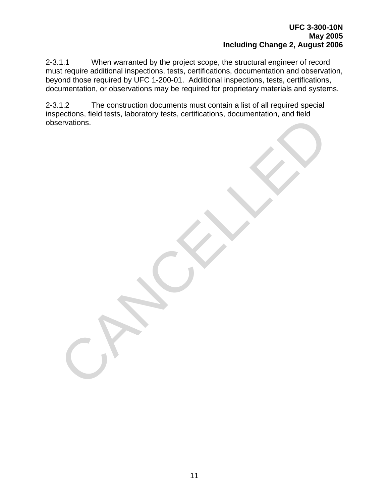2-3.1.1 When warranted by the project scope, the structural engineer of record must require additional inspections, tests, certifications, documentation and observation, beyond those required by UFC 1-200-01. Additional inspections, tests, certifications, documentation, or observations may be required for proprietary materials and systems.

2-3.1.2 The construction documents must contain a list of all required special inspections, field tests, laboratory tests, certifications, documentation, and field observations.

CRANCELLAND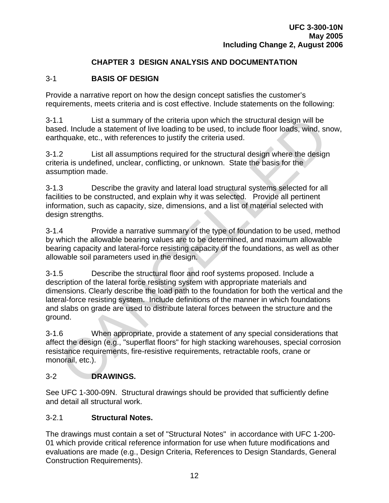# **CHAPTER 3 DESIGN ANALYSIS AND DOCUMENTATION**

# <span id="page-17-0"></span>3-1 **BASIS OF DESIGN**

Provide a narrative report on how the design concept satisfies the customer's requirements, meets criteria and is cost effective. Include statements on the following:

3-1.1 List a summary of the criteria upon which the structural design will be based. Include a statement of live loading to be used, to include floor loads, wind, snow, earthquake, etc., with references to justify the criteria used.

3-1.2 List all assumptions required for the structural design where the design criteria is undefined, unclear, conflicting, or unknown. State the basis for the assumption made.

3-1.3 Describe the gravity and lateral load structural systems selected for all facilities to be constructed, and explain why it was selected. Provide all pertinent information, such as capacity, size, dimensions, and a list of material selected with design strengths.

3-1.4 Provide a narrative summary of the type of foundation to be used, method by which the allowable bearing values are to be determined, and maximum allowable bearing capacity and lateral-force resisting capacity of the foundations, as well as other allowable soil parameters used in the design.

3-1.5 Describe the structural floor and roof systems proposed. Include a description of the lateral force resisting system with appropriate materials and dimensions. Clearly describe the load path to the foundation for both the vertical and the lateral-force resisting system. Include definitions of the manner in which foundations and slabs on grade are used to distribute lateral forces between the structure and the ground. 1.1 List a summary of the criteria upon which the structural design will be<br>
ed. Include a statement of live loading to be used, to include floor loads, wind, sn<br>
thquake, etc., with references to justify the criteria used

3-1.6 When appropriate, provide a statement of any special considerations that affect the design (e.g., "superflat floors" for high stacking warehouses, special corrosion resistance requirements, fire-resistive requirements, retractable roofs, crane or monorail, etc.).

## 3-2 **DRAWINGS.**

See UFC 1-300-09N. Structural drawings should be provided that sufficiently define and detail all structural work.

## 3-2.1 **Structural Notes.**

The drawings must contain a set of "Structural Notes" in accordance with UFC 1-200- 01 which provide critical reference information for use when future modifications and evaluations are made (e.g., Design Criteria, References to Design Standards, General Construction Requirements).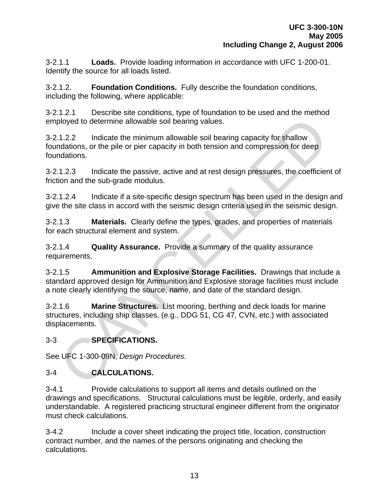<span id="page-18-0"></span>3-2.1.1 **Loads.** Provide loading information in accordance with UFC 1-200-01. Identify the source for all loads listed.

3-2.1.2. **Foundation Conditions.** Fully describe the foundation conditions, including the following, where applicable:

3-2.1.2.1 Describe site conditions, type of foundation to be used and the method employed to determine allowable soil bearing values.

3-2.1.2.2 Indicate the minimum allowable soil bearing capacity for shallow foundations, or the pile or pier capacity in both tension and compression for deep foundations.

3-2.1.2.3 Indicate the passive, active and at rest design pressures, the coefficient of friction and the sub-grade modulus.

3-2.1.2.4 Indicate if a site-specific design spectrum has been used in the design and give the site class in accord with the seismic design criteria used in the seismic design.

3-2.1.3 **Materials.** Clearly define the types, grades, and properties of materials for each structural element and system.

3-2.1.4 **Quality Assurance.** Provide a summary of the quality assurance requirements.

3-2.1.5 **Ammunition and Explosive Storage Facilities.** Drawings that include a standard approved design for Ammunition and Explosive storage facilities must include a note clearly identifying the source, name, and date of the standard design.

3-2.1.6 **Marine Structures.** List mooring, berthing and deck loads for marine structures, including ship classes, (e.g., DDG 51, CG 47, CVN, etc.) with associated displacements. ployed to determine allowable soil bearing values.<br>
1.2.2 Indicate the minimum allowable soil bearing capacity for shallow<br>
1.2.2 Indicate the minimum allowable soil bearing capacity for shallow<br>
Indications, or the pile o

# 3-3 **SPECIFICATIONS.**

See UFC 1-300-09N, *Design Procedures.*

# 3-4 **CALCULATIONS.**

3-4.1 Provide calculations to support all items and details outlined on the drawings and specifications. Structural calculations must be legible, orderly, and easily understandable. A registered practicing structural engineer different from the originator must check calculations.

3-4.2 Include a cover sheet indicating the project title, location, construction contract number, and the names of the persons originating and checking the calculations.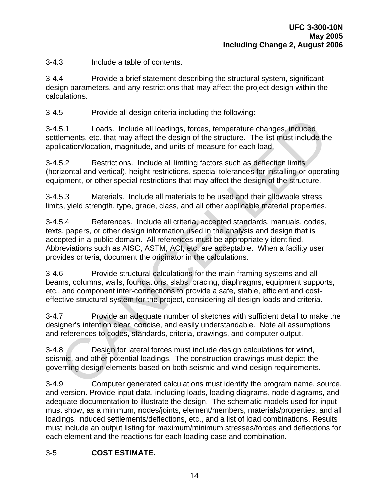<span id="page-19-0"></span>3-4.3 Include a table of contents.

3-4.4 Provide a brief statement describing the structural system, significant design parameters, and any restrictions that may affect the project design within the calculations.

3-4.5 Provide all design criteria including the following:

3-4.5.1 Loads. Include all loadings, forces, temperature changes, induced settlements, etc. that may affect the design of the structure. The list must include the application/location, magnitude, and units of measure for each load.

3-4.5.2 Restrictions. Include all limiting factors such as deflection limits (horizontal and vertical), height restrictions, special tolerances for installing or operating equipment, or other special restrictions that may affect the design of the structure.

3-4.5.3 Materials. Include all materials to be used and their allowable stress limits, yield strength, type, grade, class, and all other applicable material properties.

3-4.5.4 References. Include all criteria, accepted standards, manuals, codes, texts, papers, or other design information used in the analysis and design that is accepted in a public domain. All references must be appropriately identified. Abbreviations such as AISC, ASTM, ACI, etc. are acceptable. When a facility user provides criteria, document the originator in the calculations. 5.5.1 Loads. Include all loadings, forces, temperature changes, induced<br>telements, etc. that may affect the design of the structure. The list must include the<br>lication/location, magnitude, and units of measure for each loa

3-4.6 Provide structural calculations for the main framing systems and all beams, columns, walls, foundations, slabs, bracing, diaphragms, equipment supports, etc., and component inter-connections to provide a safe, stable, efficient and costeffective structural system for the project, considering all design loads and criteria.

3-4.7 Provide an adequate number of sketches with sufficient detail to make the designer's intention clear, concise, and easily understandable. Note all assumptions and references to codes, standards, criteria, drawings, and computer output.

3-4.8 Design for lateral forces must include design calculations for wind, seismic, and other potential loadings. The construction drawings must depict the governing design elements based on both seismic and wind design requirements.

3-4.9 Computer generated calculations must identify the program name, source, and version. Provide input data, including loads, loading diagrams, node diagrams, and adequate documentation to illustrate the design. The schematic models used for input must show, as a minimum, nodes/joints, element/members, materials/properties, and all loadings, induced settlements/deflections, etc., and a list of load combinations. Results must include an output listing for maximum/minimum stresses/forces and deflections for each element and the reactions for each loading case and combination.

## 3-5 **COST ESTIMATE.**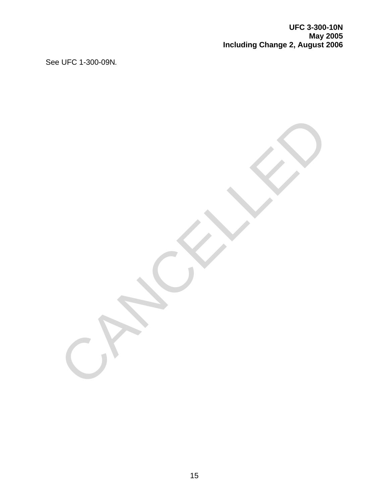See UFC 1-300-09N*.*

CANCELLED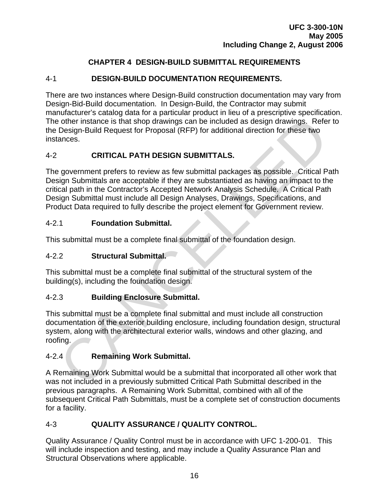# **CHAPTER 4 DESIGN-BUILD SUBMITTAL REQUIREMENTS**

# <span id="page-21-0"></span>4-1 **DESIGN-BUILD DOCUMENTATION REQUIREMENTS.**

There are two instances where Design-Build construction documentation may vary from Design-Bid-Build documentation. In Design-Build, the Contractor may submit manufacturer's catalog data for a particular product in lieu of a prescriptive specification. The other instance is that shop drawings can be included as design drawings. Refer to the Design-Build Request for Proposal (RFP) for additional direction for these two instances.

# 4-2 **CRITICAL PATH DESIGN SUBMITTALS.**

The government prefers to review as few submittal packages as possible. Critical Path Design Submittals are acceptable if they are substantiated as having an impact to the critical path in the Contractor's Accepted Network Analysis Schedule. A Critical Path Design Submittal must include all Design Analyses, Drawings, Specifications, and Product Data required to fully describe the project element for Government review. of the instance is that shop drawings can be included as design drawings. References that shop drawings can be included as design drawings. References<br>
CRITICAL PATH DESIGN SUBMITTALS.<br>
Supersiment prefers to review as few

## 4-2.1 **Foundation Submittal.**

This submittal must be a complete final submittal of the foundation design.

## 4-2.2 **Structural Submittal.**

This submittal must be a complete final submittal of the structural system of the building(s), including the foundation design.

## 4-2.3 **Building Enclosure Submittal.**

This submittal must be a complete final submittal and must include all construction documentation of the exterior building enclosure, including foundation design, structural system, along with the architectural exterior walls, windows and other glazing, and roofing.

## 4-2.4 **Remaining Work Submittal.**

A Remaining Work Submittal would be a submittal that incorporated all other work that was not included in a previously submitted Critical Path Submittal described in the previous paragraphs. A Remaining Work Submittal, combined with all of the subsequent Critical Path Submittals, must be a complete set of construction documents for a facility.

## 4-3 **QUALITY ASSURANCE / QUALITY CONTROL.**

Quality Assurance / Quality Control must be in accordance with UFC 1-200-01. This will include inspection and testing, and may include a Quality Assurance Plan and Structural Observations where applicable.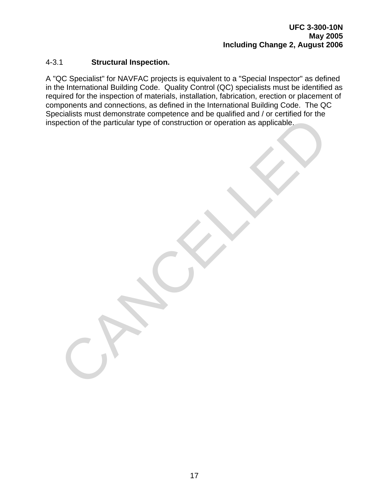## <span id="page-22-0"></span>4-3.1 **Structural Inspection.**

A "QC Specialist" for NAVFAC projects is equivalent to a "Special Inspector" as defined in the International Building Code. Quality Control (QC) specialists must be identified as required for the inspection of materials, installation, fabrication, erection or placement of components and connections, as defined in the International Building Code. The QC Specialists must demonstrate competence and be qualified and / or certified for the inspection of the particular type of construction or operation as applicable. Exection of the particular type of construction or operation as applicable.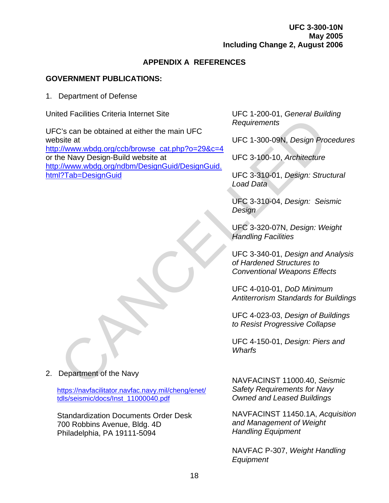## **APPENDIX A REFERENCES**

#### <span id="page-23-0"></span>**GOVERNMENT PUBLICATIONS:**

1. Department of Defense

United Facilities Criteria Internet Site

UFC's can be obtained at either the main UFC website at http://www.wbdg.org/ccb/browse\_cat.php?o=29&c=4 or the Navy Design-Build website at http://www.wbdg.org/ndbm/DesignGuid/DesignGuid. html?Tab=DesignGuid C's can be obtained at either the main UFC<br>
Significants of the Magnuments<br>
Significant at either the main UFC<br>
IFC 1-300-09N, Design Proc<br>
IFC 3-100-10, Architecture<br>
IFC 3-310-01, Architecture<br>
Load Data<br>
UFC 3-310-04, D

#### 2. Department of the Navy

<https://navfacilitator.navfac.navy.mil/cheng/enet/> tdls/seismic/docs/Inst\_11000040.pdf

Standardization Documents Order Desk 700 Robbins Avenue, Bldg. 4D Philadelphia, PA 19111-5094

UFC 1-200-01, *General Building Requirements*

UFC 1-300-09N, *Design Procedures*

UFC 3-100-10, *Architecture* 

UFC 3-310-01, *Design: Structural Load Data* 

UFC 3-310-04, *Design: Seismic Design* 

UFC 3-320-07N, *Design: Weight Handling Facilities* 

UFC 3-340-01, *Design and Analysis of Hardened Structures to Conventional Weapons Effects* 

UFC 4-010-01, *DoD Minimum Antiterrorism Standards for Buildings*

UFC 4-023-03, *Design of Buildings to Resist Progressive Collapse* 

UFC 4-150-01, *Design: Piers and Wharfs* 

NAVFACINST 11000.40, *Seismic Safety Requirements for Navy Owned and Leased Buildings*

NAVFACINST 11450.1A, *Acquisition and Management of Weight Handling Equipment* 

NAVFAC P-307, *Weight Handling Equipment*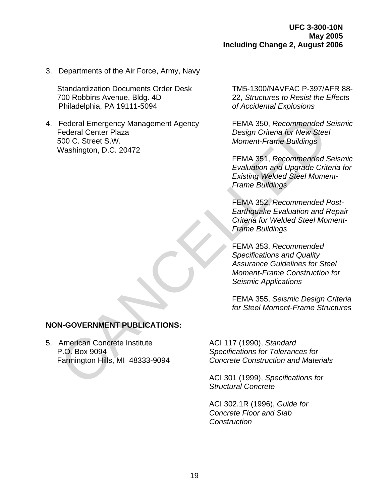3. Departments of the Air Force, Army, Navy

Standardization Documents Order Desk 700 Robbins Avenue, Bldg. 4D Philadelphia, PA 19111-5094

4. Federal Emergency Management Agency Federal Center Plaza 500 C. Street S.W. Washington, D.C. 20472 Federal Emergency Management Agency<br>
FEMA 350, Recommended Source France Content Plaza<br>
For C. Street S.W.<br>
Washington, D.C. 20472<br>
Washington, D.C. 20472<br>
FRA 351, Recommended Street Existing Welded Steel Moment-<br>
Frame B

## **NON-GOVERNMENT PUBLICATIONS:**

5. American Concrete Institute P.O. Box 9094 Farmington Hills, MI 48333-9094 TM5-1300/NAVFAC P-397/AFR 88- 22, *Structures to Resist the Effects of Accidental Explosions*

FEMA 350, *Recommended Seismic Design Criteria for New Steel Moment-Frame Buildings*

FEMA 351, *Recommended Seismic Evaluation and Upgrade Criteria for Existing Welded Steel Moment-Frame Buildings*

FEMA 352, *Recommended Post-Earthquake Evaluation and Repair Criteria for Welded Steel Moment-Frame Buildings*

FEMA 353, *Recommended Specifications and Quality Assurance Guidelines for Steel Moment-Frame Construction for Seismic Applications*

FEMA 355, *Seismic Design Criteria for Steel Moment-Frame Structures*

ACI 117 (1990), *Standard Specifications for Tolerances for Concrete Construction and Materials*

ACI 301 (1999), *Specifications for Structural Concrete*

ACI 302.1R (1996), *Guide for Concrete Floor and Slab Construction*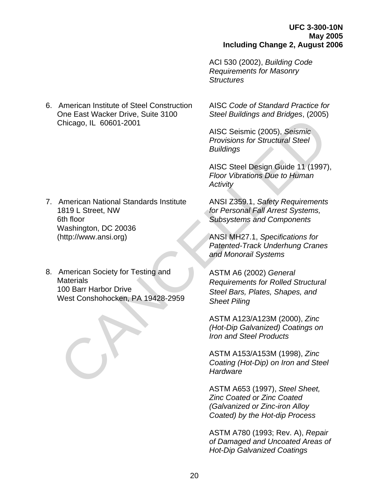ACI 530 (2002), *Building Code Requirements for Masonry Structures*

AISC Seismic (2005), *Seismic Provisions for Structural Steel* 

*Buildings*

6. American Institute of Steel Construction One East Wacker Drive, Suite 3100 Chicago, IL 60601-2001

> AISC Steel Design Guide 11 (1997), *Floor Vibrations Due to Human Activity*

> AISC *Code of Standard Practice for Steel Buildings and Bridges*, (2005)

ANSI Z359.1, *Safety Requirements for Personal Fall Arrest Systems, Subsystems and Components* 

ANSI MH27.1, *Specifications for Patented-Track Underhung Cranes and Monorail Systems*

ASTM A6 (2002) *General Requirements for Rolled Structural Steel Bars, Plates, Shapes, and Sheet Piling*

ASTM A123/A123M (2000), *Zinc (Hot-Dip Galvanized) Coatings on Iron and Steel Products*

ASTM A153/A153M (1998), *Zinc Coating (Hot-Dip) on Iron and Steel Hardware*

ASTM A653 (1997), *Steel Sheet, Zinc Coated or Zinc Coated (Galvanized or Zinc-iron Alloy Coated) by the Hot-dip Process*

ASTM A780 (1993; Rev. A), *Repair of Damaged and Uncoated Areas of Hot-Dip Galvanized Coatings*

- 7. American National Standards Institute 1819 L Street, NW 6th floor Washington, DC 20036 (http://www.ansi.org) Chicago, IL 60601-2001<br>
AISC Steising (2005), Seismic<br>
Provisions for Structural Steel<br>
Buildings<br>
AISC Steel Design Guide 11 (1997)<br>
Floor Vibrations Due to Human<br>
American National Standards Institute<br>
AISC Steel Design
- 8. American Society for Testing and **Materials** 100 Barr Harbor Drive West Conshohocken, PA 19428-2959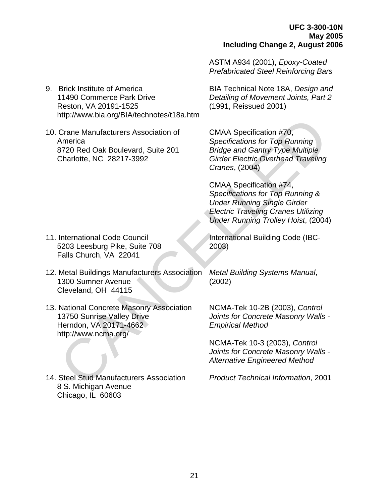ASTM A934 (2001), *Epoxy-Coated Prefabricated Steel Reinforcing Bars*

9. Brick Institute of America 11490 Commerce Park Drive Reston, VA 20191-1525 http://www.bia.org/BIA/technotes/t18a.htm

10. Crane Manufacturers Association of America 8720 Red Oak Boulevard, Suite 201 Charlotte, NC 28217-3992

BIA Technical Note 18A, *Design and Detailing of Movement Joints, Part 2*  (1991, Reissued 2001)

CMAA Specification #70, *Specifications for Top Running Bridge and Gantry Type Multiple Girder Electric Overhead Traveling Cranes*, (2004)

CMAA Specification #74, *Specifications for Top Running & Under Running Single Girder Electric Traveling Cranes Utilizing Under Running Trolley Hoist*, (2004) International Cole Carrier Massacristics (State 2014)<br>
CARRENGE AND A Specifications for Top Running<br>
America<br>
Specifications for Top Running<br>
Charlotte, NC 28217-3992<br>
Carrier Specifications for Top Running<br>
Cranes, (2004

11. International Code Council 5203 Leesburg Pike, Suite 708 Falls Church, VA 22041

12. Metal Buildings Manufacturers Association 1300 Sumner Avenue Cleveland, OH 44115

13. National Concrete Masonry Association 13750 Sunrise Valley Drive Herndon, VA 20171-4662 http://www.ncma.org/

*Metal Building Systems Manual*, (2002)

International Building Code (IBC-

2003)

NCMA-Tek 10-2B (2003), *Control Joints for Concrete Masonry Walls - Empirical Method*

NCMA-Tek 10-3 (2003), *Control Joints for Concrete Masonry Walls - Alternative Engineered Method*

14. Steel Stud Manufacturers Association 8 S. Michigan Avenue Chicago, IL 60603

*Product Technical Information*, 2001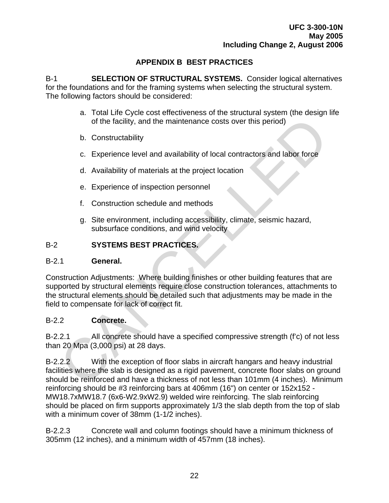# **APPENDIX B BEST PRACTICES**

<span id="page-27-0"></span>B-1 **SELECTION OF STRUCTURAL SYSTEMS.** Consider logical alternatives for the foundations and for the framing systems when selecting the structural system. The following factors should be considered:

- a. Total Life Cycle cost effectiveness of the structural system (the design life of the facility, and the maintenance costs over this period)
- b. Constructability
- c. Experience level and availability of local contractors and labor force
- d. Availability of materials at the project location
- e. Experience of inspection personnel
- f. Construction schedule and methods
- g. Site environment, including accessibility, climate, seismic hazard, subsurface conditions, and wind velocity

## B-2 **SYSTEMS BEST PRACTICES.**

## B-2.1 **General.**

Construction Adjustments: Where building finishes or other building features that are supported by structural elements require close construction tolerances, attachments to the structural elements should be detailed such that adjustments may be made in the field to compensate for lack of correct fit. of the facility, and the maintenance costs over this period)<br>
b. Constructability<br>
c. Experience level and availability of local contractors and labor force<br>
d. Availability of materials at the project location<br>
e. Experie

## B-2.2 **Concrete.**

B-2.2.1 All concrete should have a specified compressive strength (f'c) of not less than 20 Mpa (3,000 psi) at 28 days.

B-2.2.2 With the exception of floor slabs in aircraft hangars and heavy industrial facilities where the slab is designed as a rigid pavement, concrete floor slabs on ground should be reinforced and have a thickness of not less than 101mm (4 inches). Minimum reinforcing should be #3 reinforcing bars at 406mm (16") on center or 152x152 - MW18.7xMW18.7 (6x6-W2.9xW2.9) welded wire reinforcing. The slab reinforcing should be placed on firm supports approximately 1/3 the slab depth from the top of slab with a minimum cover of 38mm (1-1/2 inches).

B-2.2.3 Concrete wall and column footings should have a minimum thickness of 305mm (12 inches), and a minimum width of 457mm (18 inches).